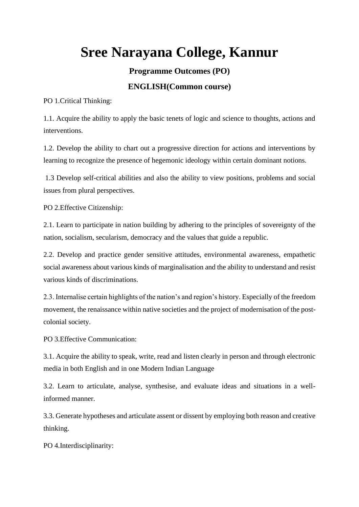# **Sree Narayana College, Kannur**

**Programme Outcomes (PO)**

### **ENGLISH(Common course)**

PO 1.Critical Thinking:

1.1. Acquire the ability to apply the basic tenets of logic and science to thoughts, actions and interventions.

1.2. Develop the ability to chart out a progressive direction for actions and interventions by learning to recognize the presence of hegemonic ideology within certain dominant notions.

1.3 Develop self-critical abilities and also the ability to view positions, problems and social issues from plural perspectives.

PO 2.Effective Citizenship:

2.1. Learn to participate in nation building by adhering to the principles of sovereignty of the nation, socialism, secularism, democracy and the values that guide a republic.

2.2. Develop and practice gender sensitive attitudes, environmental awareness, empathetic social awareness about various kinds of marginalisation and the ability to understand and resist various kinds of discriminations.

2.3. Internalise certain highlights of the nation's and region's history. Especially of the freedom movement, the renaissance within native societies and the project of modernisation of the postcolonial society.

PO 3.Effective Communication:

3.1. Acquire the ability to speak, write, read and listen clearly in person and through electronic media in both English and in one Modern Indian Language

3.2. Learn to articulate, analyse, synthesise, and evaluate ideas and situations in a wellinformed manner.

3.3. Generate hypotheses and articulate assent or dissent by employing both reason and creative thinking.

PO 4.Interdisciplinarity: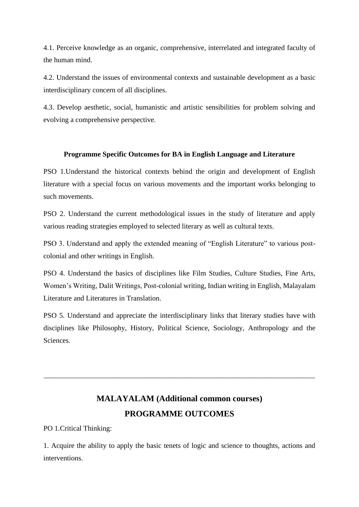4.1. Perceive knowledge as an organic, comprehensive, interrelated and integrated faculty of the human mind.

4.2. Understand the issues of environmental contexts and sustainable development as a basic interdisciplinary concern of all disciplines.

4.3. Develop aesthetic, social, humanistic and artistic sensibilities for problem solving and evolving a comprehensive perspective.

#### **Programme Specific Outcomes for BA in English Language and Literature**

PSO 1.Understand the historical contexts behind the origin and development of English literature with a special focus on various movements and the important works belonging to such movements.

PSO 2. Understand the current methodological issues in the study of literature and apply various reading strategies employed to selected literary as well as cultural texts.

PSO 3. Understand and apply the extended meaning of "English Literature" to various postcolonial and other writings in English.

PSO 4. Understand the basics of disciplines like Film Studies, Culture Studies, Fine Arts, Women's Writing, Dalit Writings, Post-colonial writing, Indian writing in English, Malayalam Literature and Literatures in Translation.

PSO 5. Understand and appreciate the interdisciplinary links that literary studies have with disciplines like Philosophy, History, Political Science, Sociology, Anthropology and the **Sciences** 

# **MALAYALAM (Additional common courses) PROGRAMME OUTCOMES**

\_\_\_\_\_\_\_\_\_\_\_\_\_\_\_\_\_\_\_\_\_\_\_\_\_\_\_\_\_\_\_\_\_\_\_\_\_\_\_\_\_\_\_\_\_\_\_\_\_\_\_\_\_\_\_\_\_\_\_\_\_\_\_\_\_\_\_\_\_\_\_\_\_\_\_

PO 1.Critical Thinking:

1. Acquire the ability to apply the basic tenets of logic and science to thoughts, actions and interventions.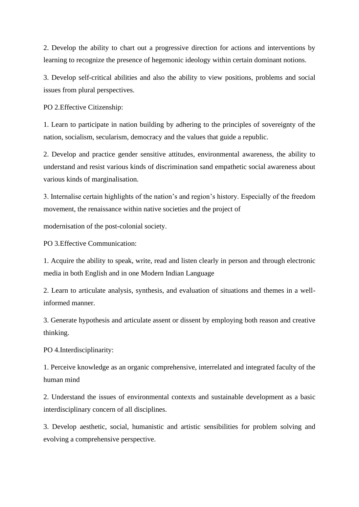2. Develop the ability to chart out a progressive direction for actions and interventions by learning to recognize the presence of hegemonic ideology within certain dominant notions.

3. Develop self-critical abilities and also the ability to view positions, problems and social issues from plural perspectives.

PO 2.Effective Citizenship:

1. Learn to participate in nation building by adhering to the principles of sovereignty of the nation, socialism, secularism, democracy and the values that guide a republic.

2. Develop and practice gender sensitive attitudes, environmental awareness, the ability to understand and resist various kinds of discrimination sand empathetic social awareness about various kinds of marginalisation.

3. Internalise certain highlights of the nation's and region's history. Especially of the freedom movement, the renaissance within native societies and the project of

modernisation of the post-colonial society.

PO 3.Effective Communication:

1. Acquire the ability to speak, write, read and listen clearly in person and through electronic media in both English and in one Modern Indian Language

2. Learn to articulate analysis, synthesis, and evaluation of situations and themes in a wellinformed manner.

3. Generate hypothesis and articulate assent or dissent by employing both reason and creative thinking.

PO 4.Interdisciplinarity:

1. Perceive knowledge as an organic comprehensive, interrelated and integrated faculty of the human mind

2. Understand the issues of environmental contexts and sustainable development as a basic interdisciplinary concern of all disciplines.

3. Develop aesthetic, social, humanistic and artistic sensibilities for problem solving and evolving a comprehensive perspective.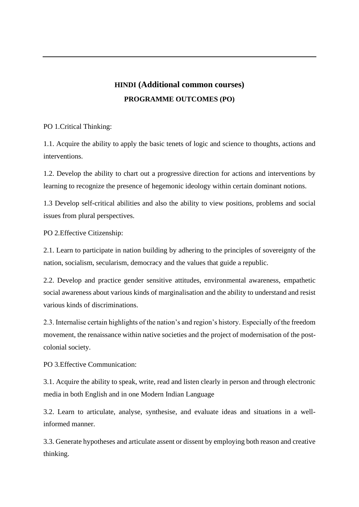### **HINDI (Additional common courses) PROGRAMME OUTCOMES (PO)**

PO 1.Critical Thinking:

1.1. Acquire the ability to apply the basic tenets of logic and science to thoughts, actions and interventions.

1.2. Develop the ability to chart out a progressive direction for actions and interventions by learning to recognize the presence of hegemonic ideology within certain dominant notions.

1.3 Develop self-critical abilities and also the ability to view positions, problems and social issues from plural perspectives.

PO 2.Effective Citizenship:

2.1. Learn to participate in nation building by adhering to the principles of sovereignty of the nation, socialism, secularism, democracy and the values that guide a republic.

2.2. Develop and practice gender sensitive attitudes, environmental awareness, empathetic social awareness about various kinds of marginalisation and the ability to understand and resist various kinds of discriminations.

2.3. Internalise certain highlights of the nation's and region's history. Especially of the freedom movement, the renaissance within native societies and the project of modernisation of the postcolonial society.

PO 3.Effective Communication:

3.1. Acquire the ability to speak, write, read and listen clearly in person and through electronic media in both English and in one Modern Indian Language

3.2. Learn to articulate, analyse, synthesise, and evaluate ideas and situations in a wellinformed manner.

3.3. Generate hypotheses and articulate assent or dissent by employing both reason and creative thinking.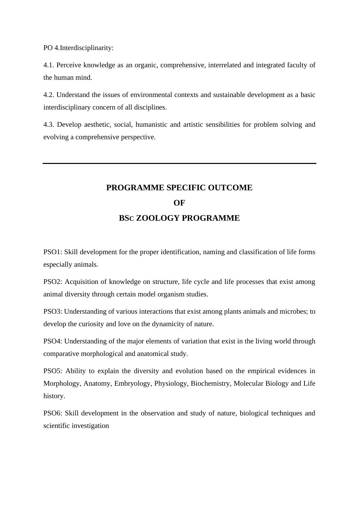PO 4.Interdisciplinarity:

4.1. Perceive knowledge as an organic, comprehensive, interrelated and integrated faculty of the human mind.

4.2. Understand the issues of environmental contexts and sustainable development as a basic interdisciplinary concern of all disciplines.

4.3. Develop aesthetic, social, humanistic and artistic sensibilities for problem solving and evolving a comprehensive perspective.

# **PROGRAMME SPECIFIC OUTCOME OF BSC ZOOLOGY PROGRAMME**

PSO1: Skill development for the proper identification, naming and classification of life forms especially animals.

PSO2: Acquisition of knowledge on structure, life cycle and life processes that exist among animal diversity through certain model organism studies.

PSO3: Understanding of various interactions that exist among plants animals and microbes; to develop the curiosity and love on the dynamicity of nature.

PSO4: Understanding of the major elements of variation that exist in the living world through comparative morphological and anatomical study.

PSO5: Ability to explain the diversity and evolution based on the empirical evidences in Morphology, Anatomy, Embryology, Physiology, Biochemistry, Molecular Biology and Life history.

PSO6: Skill development in the observation and study of nature, biological techniques and scientific investigation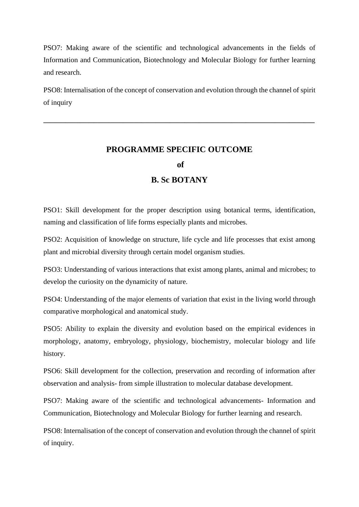PSO7: Making aware of the scientific and technological advancements in the fields of Information and Communication, Biotechnology and Molecular Biology for further learning and research.

PSO8: Internalisation of the concept of conservation and evolution through the channel of spirit of inquiry

**\_\_\_\_\_\_\_\_\_\_\_\_\_\_\_\_\_\_\_\_\_\_\_\_\_\_\_\_\_\_\_\_\_\_\_\_\_\_\_\_\_\_\_\_\_\_\_\_\_\_\_\_\_\_\_\_\_\_\_\_\_\_\_\_\_\_\_\_\_\_\_\_\_\_\_**

### **PROGRAMME SPECIFIC OUTCOME of**

### **B. Sc BOTANY**

PSO1: Skill development for the proper description using botanical terms, identification, naming and classification of life forms especially plants and microbes.

PSO2: Acquisition of knowledge on structure, life cycle and life processes that exist among plant and microbial diversity through certain model organism studies.

PSO3: Understanding of various interactions that exist among plants, animal and microbes; to develop the curiosity on the dynamicity of nature.

PSO4: Understanding of the major elements of variation that exist in the living world through comparative morphological and anatomical study.

PSO5: Ability to explain the diversity and evolution based on the empirical evidences in morphology, anatomy, embryology, physiology, biochemistry, molecular biology and life history.

PSO6: Skill development for the collection, preservation and recording of information after observation and analysis- from simple illustration to molecular database development.

PSO7: Making aware of the scientific and technological advancements- Information and Communication, Biotechnology and Molecular Biology for further learning and research.

PSO8: Internalisation of the concept of conservation and evolution through the channel of spirit of inquiry.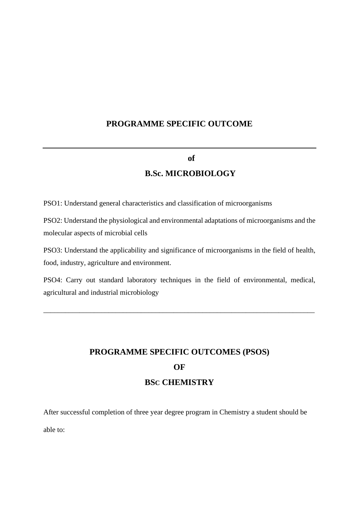### **PROGRAMME SPECIFIC OUTCOME**

#### **of**

### **B.Sc. MICROBIOLOGY**

PSO1: Understand general characteristics and classification of microorganisms

PSO2: Understand the physiological and environmental adaptations of microorganisms and the molecular aspects of microbial cells

PSO3: Understand the applicability and significance of microorganisms in the field of health, food, industry, agriculture and environment.

PSO4: Carry out standard laboratory techniques in the field of environmental, medical, agricultural and industrial microbiology

\_\_\_\_\_\_\_\_\_\_\_\_\_\_\_\_\_\_\_\_\_\_\_\_\_\_\_\_\_\_\_\_\_\_\_\_\_\_\_\_\_\_\_\_\_\_\_\_\_\_\_\_\_\_\_\_\_\_\_\_\_\_\_\_\_\_\_\_\_\_\_\_\_\_\_

# **PROGRAMME SPECIFIC OUTCOMES (PSOS) OF BSC CHEMISTRY**

After successful completion of three year degree program in Chemistry a student should be

able to: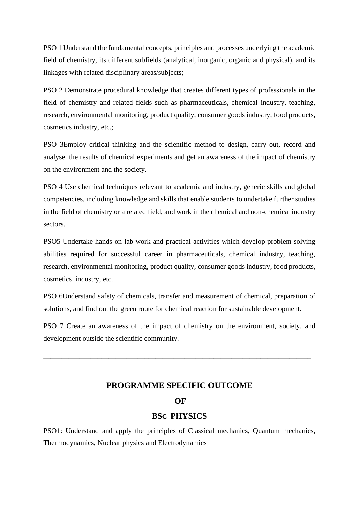PSO 1 Understand the fundamental concepts, principles and processes underlying the academic field of chemistry, its different subfields (analytical, inorganic, organic and physical), and its linkages with related disciplinary areas/subjects;

PSO 2 Demonstrate procedural knowledge that creates different types of professionals in the field of chemistry and related fields such as pharmaceuticals, chemical industry, teaching, research, environmental monitoring, product quality, consumer goods industry, food products, cosmetics industry, etc.;

PSO 3Employ critical thinking and the scientific method to design, carry out, record and analyse the results of chemical experiments and get an awareness of the impact of chemistry on the environment and the society.

PSO 4 Use chemical techniques relevant to academia and industry, generic skills and global competencies, including knowledge and skills that enable students to undertake further studies in the field of chemistry or a related field, and work in the chemical and non-chemical industry sectors.

PSO5 Undertake hands on lab work and practical activities which develop problem solving abilities required for successful career in pharmaceuticals, chemical industry, teaching, research, environmental monitoring, product quality, consumer goods industry, food products, cosmetics industry, etc.

PSO 6Understand safety of chemicals, transfer and measurement of chemical, preparation of solutions, and find out the green route for chemical reaction for sustainable development.

PSO 7 Create an awareness of the impact of chemistry on the environment, society, and development outside the scientific community.

\_\_\_\_\_\_\_\_\_\_\_\_\_\_\_\_\_\_\_\_\_\_\_\_\_\_\_\_\_\_\_\_\_\_\_\_\_\_\_\_\_\_\_\_\_\_\_\_\_\_\_\_\_\_\_\_\_\_\_\_\_\_\_\_\_\_\_\_\_\_\_\_\_\_

#### **PROGRAMME SPECIFIC OUTCOME**

#### **OF**

#### **BSC PHYSICS**

PSO1: Understand and apply the principles of Classical mechanics, Quantum mechanics, Thermodynamics, Nuclear physics and Electrodynamics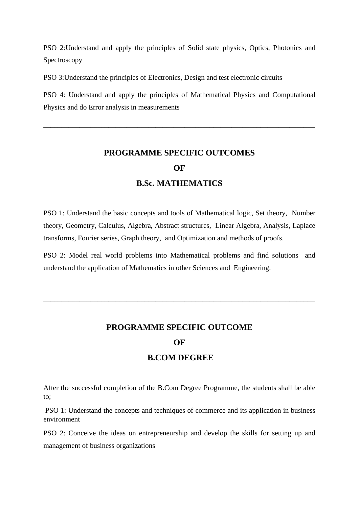PSO 2:Understand and apply the principles of Solid state physics, Optics, Photonics and Spectroscopy

PSO 3:Understand the principles of Electronics, Design and test electronic circuits

PSO 4: Understand and apply the principles of Mathematical Physics and Computational Physics and do Error analysis in measurements

\_\_\_\_\_\_\_\_\_\_\_\_\_\_\_\_\_\_\_\_\_\_\_\_\_\_\_\_\_\_\_\_\_\_\_\_\_\_\_\_\_\_\_\_\_\_\_\_\_\_\_\_\_\_\_\_\_\_\_\_\_\_\_\_\_\_\_\_\_\_\_\_\_\_\_

# **PROGRAMME SPECIFIC OUTCOMES OF B.Sc. MATHEMATICS**

PSO 1: Understand the basic concepts and tools of Mathematical logic, Set theory, Number theory, Geometry, Calculus, Algebra, Abstract structures, Linear Algebra, Analysis, Laplace transforms, Fourier series, Graph theory, and Optimization and methods of proofs.

PSO 2: Model real world problems into Mathematical problems and find solutions and understand the application of Mathematics in other Sciences and Engineering.

### **PROGRAMME SPECIFIC OUTCOME**

\_\_\_\_\_\_\_\_\_\_\_\_\_\_\_\_\_\_\_\_\_\_\_\_\_\_\_\_\_\_\_\_\_\_\_\_\_\_\_\_\_\_\_\_\_\_\_\_\_\_\_\_\_\_\_\_\_\_\_\_\_\_\_\_\_\_\_\_\_\_\_\_\_\_\_

#### **OF**

#### **B.COM DEGREE**

After the successful completion of the B.Com Degree Programme, the students shall be able to;

PSO 1: Understand the concepts and techniques of commerce and its application in business environment

PSO 2: Conceive the ideas on entrepreneurship and develop the skills for setting up and management of business organizations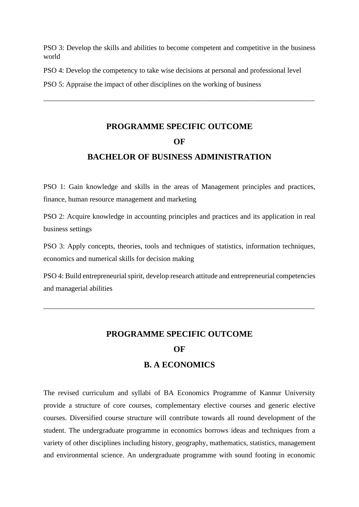PSO 3: Develop the skills and abilities to become competent and competitive in the business world

PSO 4: Develop the competency to take wise decisions at personal and professional level

PSO 5: Appraise the impact of other disciplines on the working of business

# **PROGRAMME SPECIFIC OUTCOME OF BACHELOR OF BUSINESS ADMINISTRATION**

\_\_\_\_\_\_\_\_\_\_\_\_\_\_\_\_\_\_\_\_\_\_\_\_\_\_\_\_\_\_\_\_\_\_\_\_\_\_\_\_\_\_\_\_\_\_\_\_\_\_\_\_\_\_\_\_\_\_\_\_\_\_\_\_\_\_\_\_\_\_\_\_\_\_\_

PSO 1: Gain knowledge and skills in the areas of Management principles and practices, finance, human resource management and marketing

PSO 2: Acquire knowledge in accounting principles and practices and its application in real business settings

PSO 3: Apply concepts, theories, tools and techniques of statistics, information techniques, economics and numerical skills for decision making

PSO 4: Build entrepreneurial spirit, develop research attitude and entrepreneurial competencies and managerial abilities

\_\_\_\_\_\_\_\_\_\_\_\_\_\_\_\_\_\_\_\_\_\_\_\_\_\_\_\_\_\_\_\_\_\_\_\_\_\_\_\_\_\_\_\_\_\_\_\_\_\_\_\_\_\_\_\_\_\_\_\_\_\_\_\_\_\_\_\_\_\_\_\_\_\_\_

### **PROGRAMME SPECIFIC OUTCOME**

#### **OF**

#### **B. A ECONOMICS**

The revised curriculum and syllabi of BA Economics Programme of Kannur University provide a structure of core courses, complementary elective courses and generic elective courses. Diversified course structure will contribute towards all round development of the student. The undergraduate programme in economics borrows ideas and techniques from a variety of other disciplines including history, geography, mathematics, statistics, management and environmental science. An undergraduate programme with sound footing in economic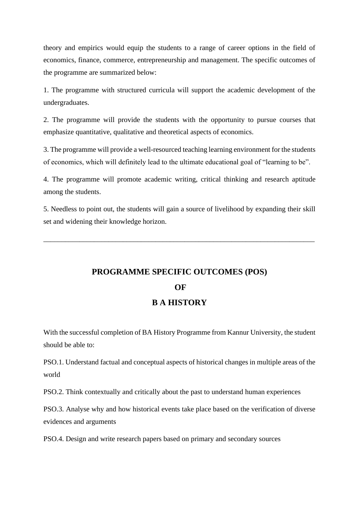theory and empirics would equip the students to a range of career options in the field of economics, finance, commerce, entrepreneurship and management. The specific outcomes of the programme are summarized below:

1. The programme with structured curricula will support the academic development of the undergraduates.

2. The programme will provide the students with the opportunity to pursue courses that emphasize quantitative, qualitative and theoretical aspects of economics.

3. The programme will provide a well-resourced teaching learning environment for the students of economics, which will definitely lead to the ultimate educational goal of "learning to be".

4. The programme will promote academic writing, critical thinking and research aptitude among the students.

5. Needless to point out, the students will gain a source of livelihood by expanding their skill set and widening their knowledge horizon.

\_\_\_\_\_\_\_\_\_\_\_\_\_\_\_\_\_\_\_\_\_\_\_\_\_\_\_\_\_\_\_\_\_\_\_\_\_\_\_\_\_\_\_\_\_\_\_\_\_\_\_\_\_\_\_\_\_\_\_\_\_\_\_\_\_\_\_\_\_\_\_\_\_\_\_

## **PROGRAMME SPECIFIC OUTCOMES (POS) OF B A HISTORY**

With the successful completion of BA History Programme from Kannur University, the student should be able to:

PSO.1. Understand factual and conceptual aspects of historical changes in multiple areas of the world

PSO.2. Think contextually and critically about the past to understand human experiences

PSO.3. Analyse why and how historical events take place based on the verification of diverse evidences and arguments

PSO.4. Design and write research papers based on primary and secondary sources